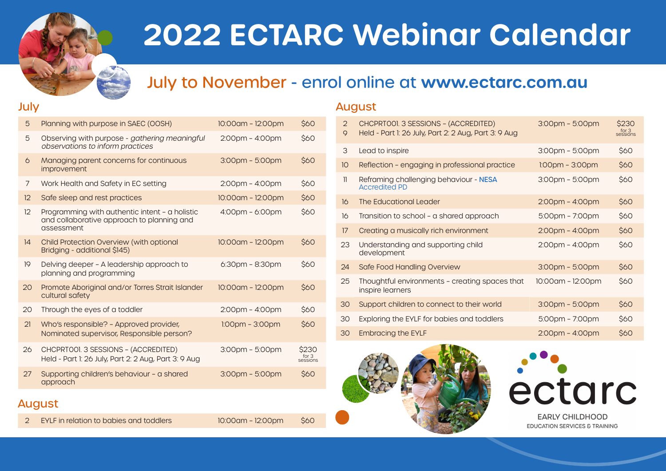

# **2022 ECTARC Webinar Calendar**

# July to November - enrol online at **www.ectarc.com.au**

#### July

| 5  | Planning with purpose in SAEC (OOSH)                                                                       | 10:00am - 12:00pm                 | \$60                       |
|----|------------------------------------------------------------------------------------------------------------|-----------------------------------|----------------------------|
| 5  | Observing with purpose - gathering meaningful<br>observations to inform practices                          | $2:00$ pm – $4:00$ pm             | \$60                       |
| 6  | Managing parent concerns for continuous<br><i>improvement</i>                                              | $3:00$ pm - $5:00$ pm             | \$60                       |
| 7  | Work Health and Safety in EC setting                                                                       | $2:00$ pm - $4:00$ pm             | <b>\$60</b>                |
| 12 | Safe sleep and rest practices                                                                              | 10:00am - 12:00pm                 | \$60                       |
| 12 | Programming with authentic intent - a holistic<br>and collaborative approach to planning and<br>assessment | $4:00 \text{pm} - 6:00 \text{pm}$ | \$60                       |
| 14 | Child Protection Overview (with optional<br>Bridging - additional \$145)                                   | 10:00am - 12:00pm                 | \$60                       |
| 19 | Delving deeper - A leadership approach to<br>planning and programming                                      | $6:30$ pm - $8:30$ pm             | \$60                       |
| 20 | Promote Aboriginal and/or Torres Strait Islander<br>cultural safety                                        | 10:00am - 12:00pm                 | \$60                       |
| 20 | Through the eyes of a toddler                                                                              | 2:00pm - 4:00pm                   | \$60                       |
| 21 | Who's responsible? - Approved provider,<br>Nominated supervisor, Responsible person?                       | $1:00$ pm – $3:00$ pm             | \$60                       |
| 26 | CHCPRTOOI. 3 SESSIONS - (ACCREDITED)<br>Held - Part 1: 26 July, Part 2: 2 Aug, Part 3: 9 Aug               | 3:00pm - 5:00pm                   | \$230<br>for 3<br>sessions |
| 27 | Supporting children's behaviour - a shared<br>approach                                                     | $3:00$ pm – 5:00pm                | \$60                       |

#### August

2 EYLF in relation to babies and toddlers 10:00am – 12:00pm \$60



| 2<br>$\mathsf Q$ | CHCPRTOOI. 3 SESSIONS - (ACCREDITED)<br>Held - Part 1: 26 July, Part 2: 2 Aug, Part 3: 9 Aug | $3:00$ pm – 5:00pm    | \$230<br>for 3<br>sessions |
|------------------|----------------------------------------------------------------------------------------------|-----------------------|----------------------------|
| 3                | Lead to inspire                                                                              | $3:00$ pm – 5:00pm    | <b>S60</b>                 |
| 10               | Reflection - engaging in professional practice                                               | $1.00pm - 3.00pm$     | \$60                       |
| $\mathbf{1}$     | Reframing challenging behaviour - NESA<br><b>Accredited PD</b>                               | $3:00$ pm – 5:00pm    | \$60                       |
| 16               | The Educational Leader                                                                       | $2:00$ pm – $4:00$ pm | \$60                       |
| 16               | Transition to school - a shared approach                                                     | $5:00$ pm – 7:00pm    | \$60                       |
| 17               | Creating a musically rich environment                                                        | $2:00$ pm – $4:00$ pm | \$60                       |
| 23               | Understanding and supporting child<br>development                                            | $2:00$ pm – $4:00$ pm | <b>S60</b>                 |
| 24               | Safe Food Handling Overview                                                                  | $3:00$ pm – $5:00$ pm | \$60                       |
| 25               | Thoughtful environments - creating spaces that<br>inspire learners                           | 10:00am - 12:00pm     | <b>S60</b>                 |
| 30               | Support children to connect to their world                                                   | $3:00$ pm – 5:00pm    | \$60                       |
| 30               | Exploring the EYLF for babies and toddlers                                                   | $5:00$ pm – 7:00pm    | <b>S60</b>                 |
| 30               | <b>Embracing the EYLF</b>                                                                    | $2:00$ pm – $4:00$ pm | \$60                       |